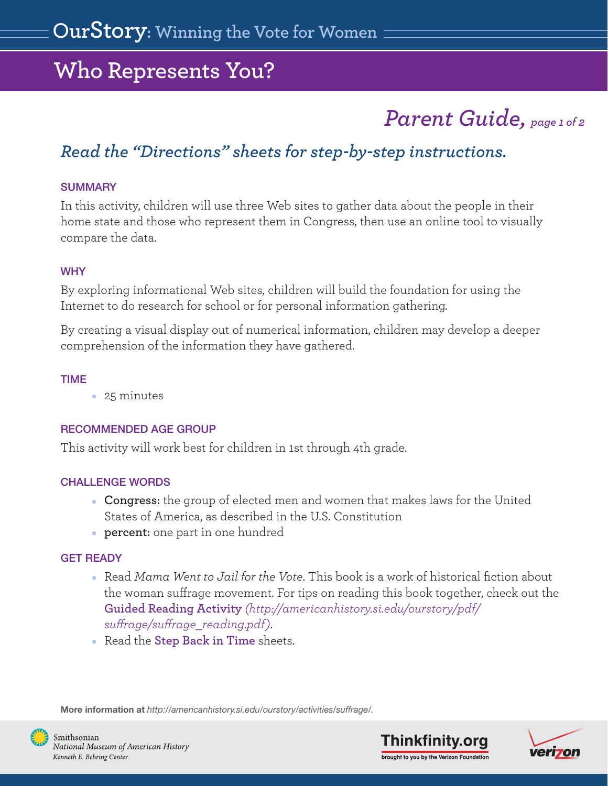# *Parent Guide, page 1 of 2*

### <span id="page-0-0"></span>*Read the ["Directions" sheets](#page-4-0) for step-by-step instructions.*

#### **SUMMARY**

In this activity, children will use three Web sites to gather data about the people in their home state and those who represent them in Congress, then use an online tool to visually compare the data.

#### **WHY**

By exploring informational Web sites, children will build the foundation for using the Internet to do research for school or for personal information gathering.

By creating a visual display out of numerical information, children may develop a deeper comprehension of the information they have gathered.

#### TIME

■ 25 minutes

### RECOMMENDED AGE GROUP

This activity will work best for children in 1st through 4th grade.

### CHALLENGE WORDS

- **Congress:** the group of elected men and women that makes laws for the United States of America, as described in the U.S. Constitution
- **percent:** one part in one hundred

### GET READY

- Read *Mama Went to Jail for the Vote*. This book is a work of historical fiction about the woman suffrage movement. For tips on reading this book together, check out the **Guided Reading Activity** *[\(http://americanhistory.si.edu/ourstory/pdf/](http://americanhistory.si.edu/ourstory/pdf/suffrage/suffrage_reading.pdf)  surage/surage\_reading.pdf)*.
- Read the **[Step Back in Time](#page-2-0)** sheets.

More information at *http://americanhistory.si.edu/ourstory/activities/suffrage/.*





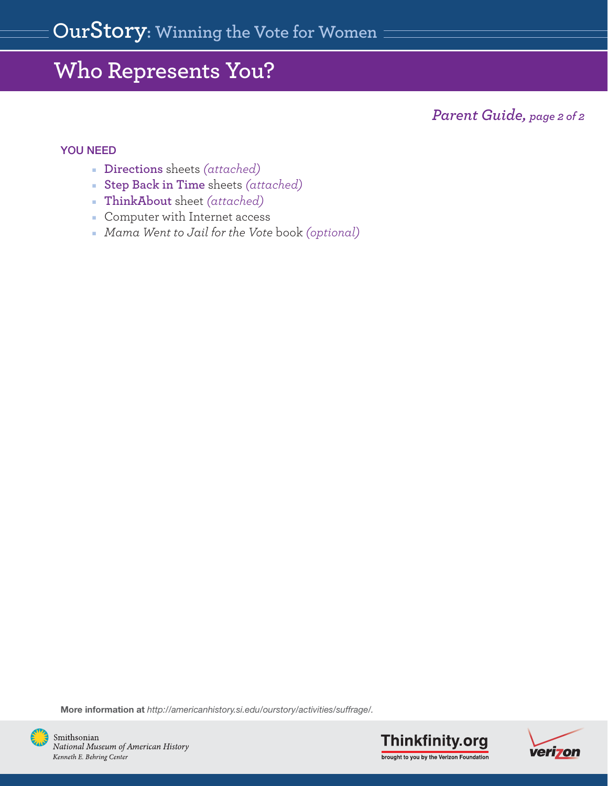*Parent Guide, page 2 of 2*

#### YOU NEED

- **[Directions](#page-4-0)** sheets *(attached)*
- **[Step Back in Time](#page-2-0)** sheets *(attached)*
- **[ThinkAbout](#page-8-0)** sheet *(attached)*
- Computer with Internet access
- *Mama Went to Jail for the Vote* book *(optional)*

More information at *http://americanhistory.si.edu/ourstory/activities/suffrage/.*





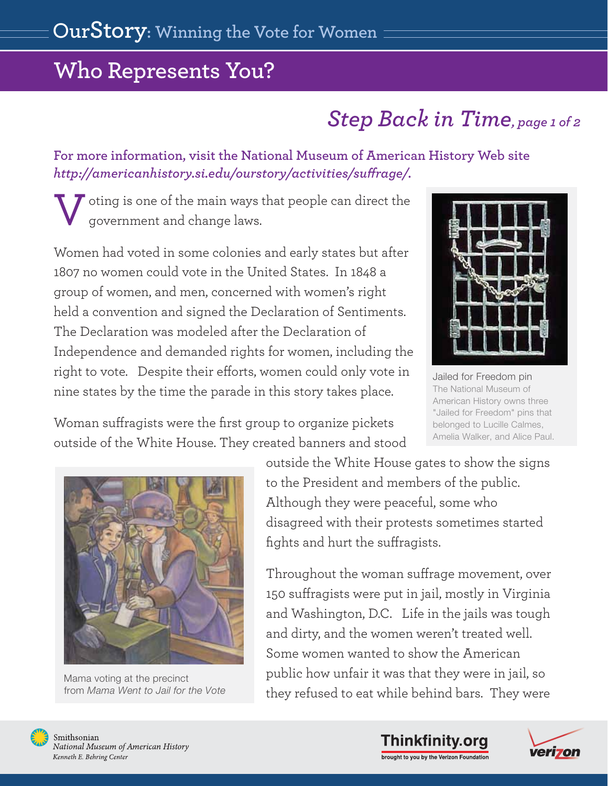# *Step Back in Time, page 1 of 2*

### <span id="page-2-0"></span>**[For more information, visit the National Museum of American History Web site](http://americanhistory.si.edu/ourstory/activities/suffrage/)**   $http://americanhistory.sizedu/our story/activities/suffrage/$ .

oting is one of the main ways that people can direct the government and change laws. V

Women had voted in some colonies and early states but after 1807 no women could vote in the United States. In 1848 a group of women, and men, concerned with women's right held a convention and signed the Declaration of Sentiments. The Declaration was modeled after the Declaration of Independence and demanded rights for women, including the right to vote. Despite their efforts, women could only vote in nine states by the time the parade in this story takes place.



 Jailed for Freedom pin The National Museum of American History owns three "Jailed for Freedom" pins that belonged to Lucille Calmes, Amelia Walker, and Alice Paul.

Woman suffragists were the first group to organize pickets outside of the White House. They created banners and stood



 Mama voting at the precinct from *Mama Went to Jail for the Vote*

outside the White House gates to show the signs to the President and members of the public. Although they were peaceful, some who disagreed with their protests sometimes started fights and hurt the suffragists.

Throughout the woman suffrage movement, over 150 suffragists were put in jail, mostly in Virginia and Washington, D.C. Life in the jails was tough and dirty, and the women weren't treated well. Some women wanted to show the American public how unfair it was that they were in jail, so they refused to eat while behind bars. They were





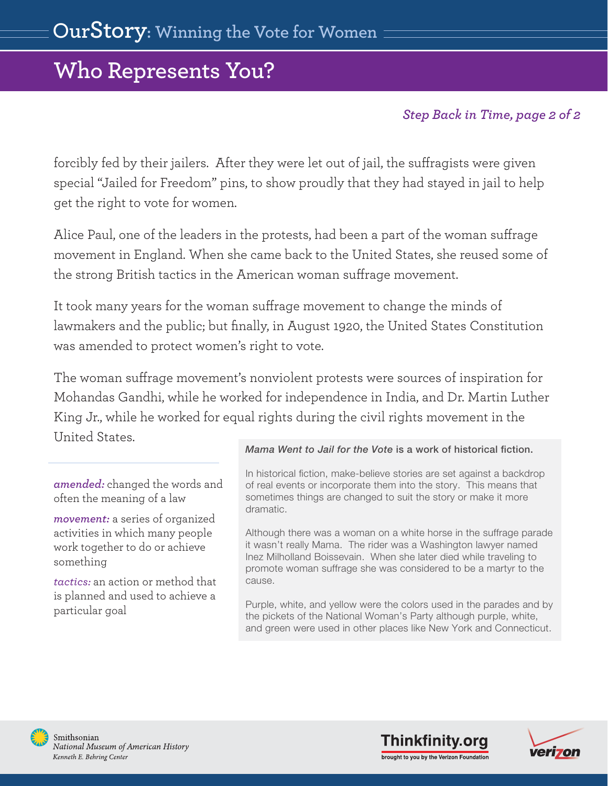### *Step Back in Time, page 2 of 2*

forcibly fed by their jailers. After they were let out of jail, the suffragists were given special "Jailed for Freedom" pins, to show proudly that they had stayed in jail to help get the right to vote for women.

Alice Paul, one of the leaders in the protests, had been a part of the woman suffrage movement in England. When she came back to the United States, she reused some of the strong British tactics in the American woman suffrage movement.

It took many years for the woman suffrage movement to change the minds of lawmakers and the public; but finally, in August 1920, the United States Constitution was amended to protect women's right to vote.

The woman suffrage movement's nonviolent protests were sources of inspiration for Mohandas Gandhi, while he worked for independence in India, and Dr. Martin Luther King Jr., while he worked for equal rights during the civil rights movement in the United States.

*amended:* changed the words and often the meaning of a law

*movement:* a series of organized activities in which many people work together to do or achieve something

*tactics:* an action or method that is planned and used to achieve a particular goal

#### *Mama Went to Jail for the Vote* is a work of historical fiction.

In historical fiction, make-believe stories are set against a backdrop of real events or incorporate them into the story. This means that sometimes things are changed to suit the story or make it more dramatic.

Although there was a woman on a white horse in the suffrage parade it wasn't really Mama. The rider was a Washington lawyer named Inez Milholland Boissevain. When she later died while traveling to promote woman suffrage she was considered to be a martyr to the cause.

Purple, white, and yellow were the colors used in the parades and by the pickets of the National Woman's Party although purple, white, and green were used in other places like New York and Connecticut.





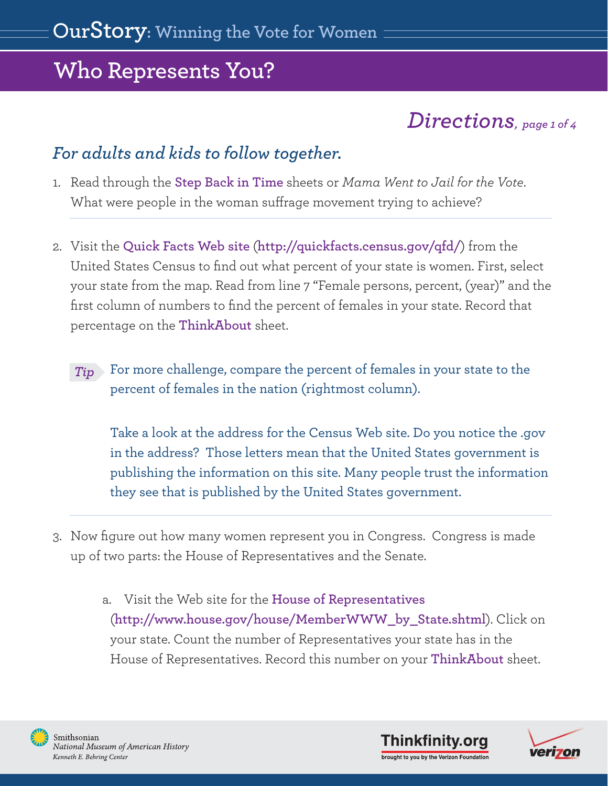### *Directions, page 1 of 4*

### <span id="page-4-0"></span>*For adults and kids to follow together.*

- 1. Read through the **[Step Back in Time](#page-2-0)** sheets or *Mama Went to Jail for the Vote*. What were people in the woman suffrage movement trying to achieve?
- 2. Visit the **[Quick Facts Web site](http://quickfacts.census.gov/qfd/)** (**http://quickfacts.census.gov/qfd/**) from the United States Census to find out what percent of your state is women. First, select your state from the map. Read from line 7 "Female persons, percent, (year)" and the first column of numbers to find the percent of females in your state. Record that percentage on the **[ThinkAbout](#page-8-0)** sheet.
	- For more challenge, compare the percent of females in your state to the percent of females in the nation (rightmost column). *Tip*

 Take a look at the address for the Census Web site. Do you notice the .gov in the address? Those letters mean that the United States government is publishing the information on this site. Many people trust the information they see that is published by the United States government.

- 3. Now figure out how many women represent you in Congress. Congress is made up of two parts: the House of Representatives and the Senate.
	- a. Visit the Web site for the **[House of Representatives](http://www.house.gov/house/MemberWWW_by_State.shtml)**  (**http://www.house.gov/house/MemberWWW\_by\_State.shtml**). Click on your state. Count the number of Representatives your state has in the House of Representatives. Record this number on your **[ThinkAbout](#page-8-0)** sheet.





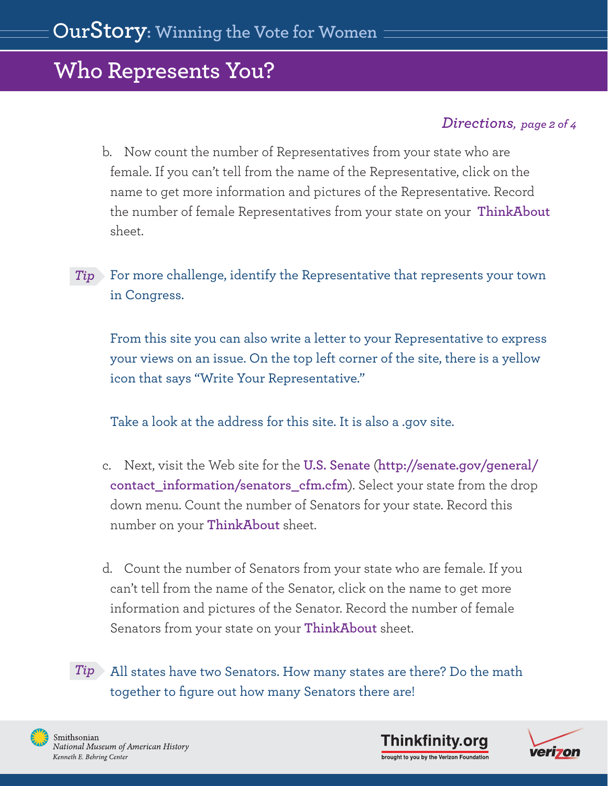### *Directions, page 2 of 4*

- b. Now count the number of Representatives from your state who are female. If you can't tell from the name of the Representative, click on the name to get more information and pictures of the Representative. Record the number of female Representatives from your state on your **[ThinkAbout](#page-8-0)** sheet.
- For more challenge, identify the Representative that represents your town *Tip*in Congress.

 From this site you can also write a letter to your Representative to express your views on an issue. On the top left corner of the site, there is a yellow icon that says "Write Your Representative."

Take a look at the address for this site. It is also a .gov site.

- c. Next, visit the Web site for the **[U.S. Senate](http://senate.gov/general/contact_information/senators_cfm.cfm)** (**http://senate.gov/general/ contact\_information/senators\_cfm.cfm**). Select your state from the drop down menu. Count the number of Senators for your state. Record this number on your **[ThinkAbout](#page-8-0)** sheet.
- d. Count the number of Senators from your state who are female. If you can't tell from the name of the Senator, click on the name to get more information and pictures of the Senator. Record the number of female Senators from your state on your **[ThinkAbout](#page-8-0)** sheet.

 All states have two Senators. How many states are there? Do the math *Tip* together to figure out how many Senators there are!





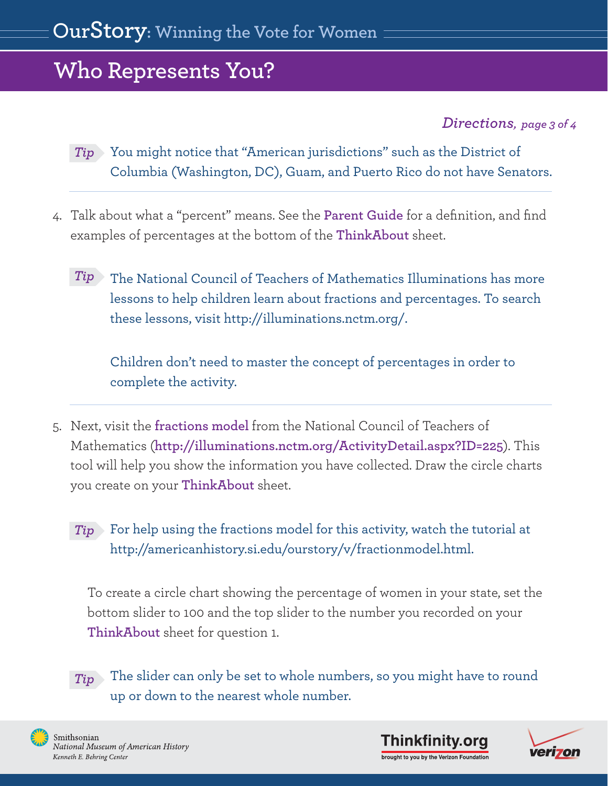### *Directions, page 3 of 4*

 You might notice that "American jurisdictions" such as the District of *Tip* Columbia (Washington, DC), Guam, and Puerto Rico do not have Senators.

- 4. Talk about what a "percent" means. See the **[Parent Guide](#page-0-0)** for a definition, and find examples of percentages at the bottom of the **[ThinkAbout](#page-8-0)** sheet.
	- Tip The National Council of Teachers of Mathematics Illuminations has more lessons to help children learn about fractions and percentages. To search these lessons, visit http://illuminations.nctm.org/.

 Children don't need to master the concept of percentages in order to complete the activity.

5. Next, visit the **[fractions model](http://illuminations.nctm.org/ActivityDetail.aspx?ID=45)** from the National Council of Teachers of Mathematics (**http://illuminations.nctm.org/ActivityDetail.aspx?ID=225**). This tool will help you show the information you have collected. Draw the circle charts you create on your **[ThinkAbout](#page-8-0)** sheet.

 For help using the fractions model for this activity, watch the tutorial at *Tip* http://americanhistory.si.edu/ourstory/v/fractionmodel.html.

To create a circle chart showing the percentage of women in your state, set the bottom slider to 100 and the top slider to the number you recorded on your **[ThinkAbout](#page-8-0)** sheet for question 1.

 The slider can only be set to whole numbers, so you might have to round up or down to the nearest whole number. *Tip*





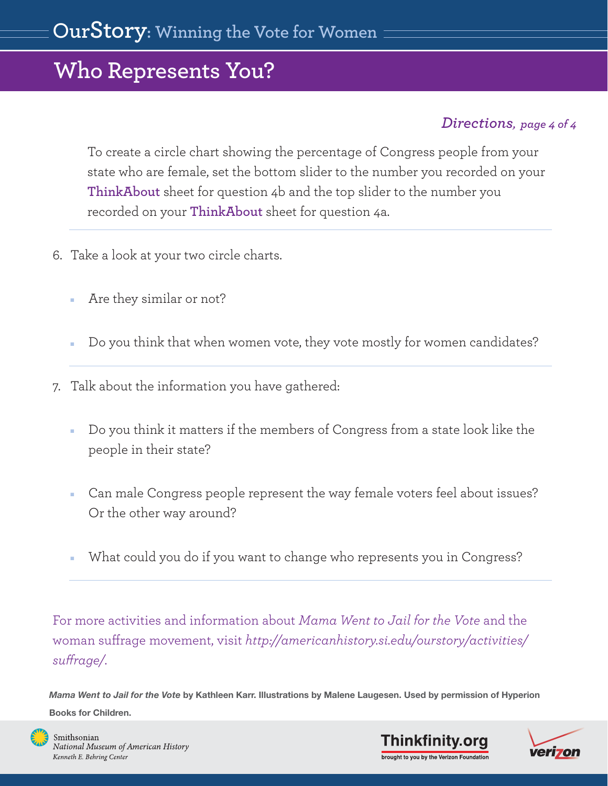### *Directions, page 4 of 4*

To create a circle chart showing the percentage of Congress people from your state who are female, set the bottom slider to the number you recorded on your **[ThinkAbout](#page-8-0)** sheet for question 4b and the top slider to the number you recorded on your **[ThinkAbout](#page-8-0)** sheet for question 4a.

- 6. Take a look at your two circle charts.
	- Are they similar or not?
	- Do you think that when women vote, they vote mostly for women candidates?
- 7. Talk about the information you have gathered:
	- Do you think it matters if the members of Congress from a state look like the people in their state?
	- Can male Congress people represent the way female voters feel about issues? Or the other way around?
	- What could you do if you want to change who represents you in Congress?

For more activities and information about *Mama Went to Jail for the Vote* and the woman suffrage movement, visit *http://americanhistory.si.edu/ourstory/activities/ surage/*.

*Mama Went to Jail for the Vote* by Kathleen Karr. Illustrations by Malene Laugesen. Used by permission of Hyperion Books for Children.





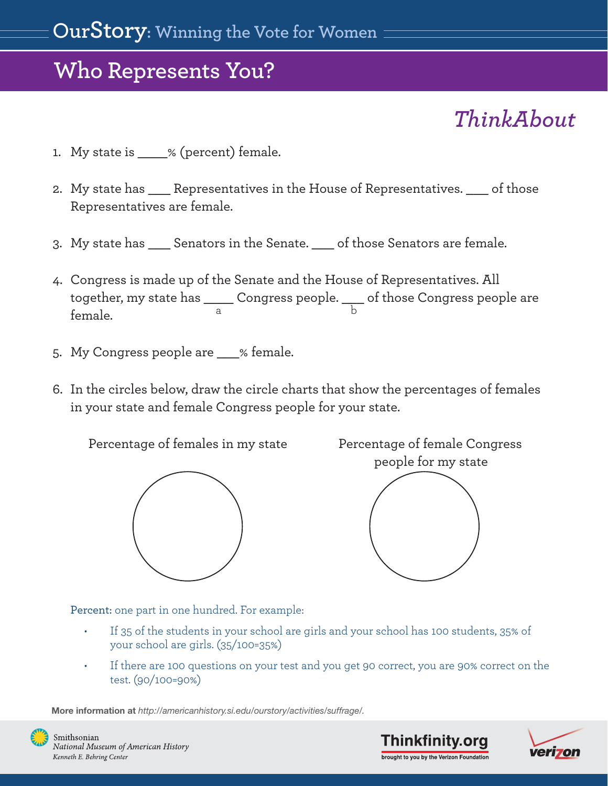# *ThinkAbout*

- <span id="page-8-0"></span>1. My state is \_\_\_\_% (percent) female.
- 2. My state has Elepresentatives in the House of Representatives. of those Representatives are female.
- 3. My state has \_\_\_ Senators in the Senate. \_\_\_ of those Senators are female.
- 4. Congress is made up of the Senate and the House of Representatives. All together, my state has \_\_\_\_ Congress people. \_\_\_ of those Congress people are female. a b
- 5. My Congress people are % female.
- 6. In the circles below, draw the circle charts that show the percentages of females in your state and female Congress people for your state.

Percentage of females in my state Percentage of female Congress



people for my state

Percent: one part in one hundred. For example:

- If 35 of the students in your school are girls and your school has 100 students, 35% of your school are girls. (35/100=35%)
- If there are 100 questions on your test and you get 90 correct, you are 90% correct on the test. (90/100=90%)

More information at *http://americanhistory.si.edu/ourstory/activities/suffrage/.*







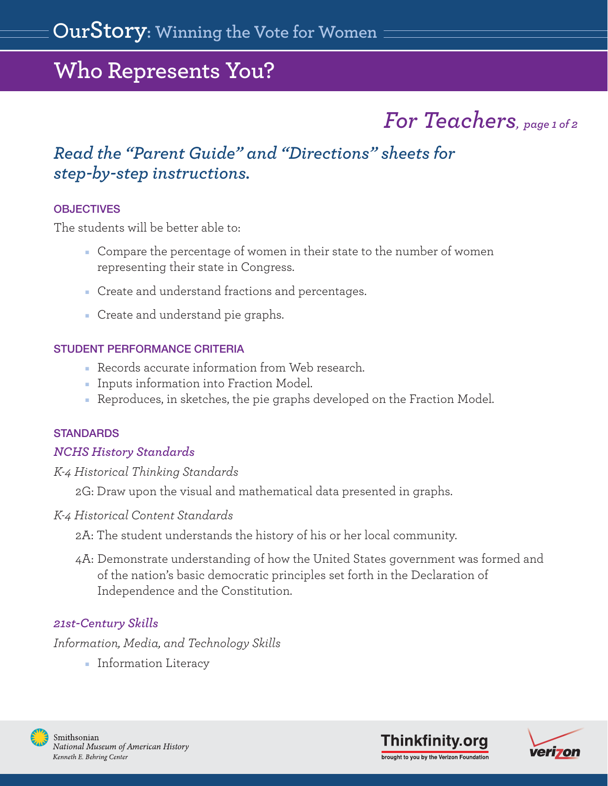# *For Teachers, page 1 of 2*

### *Read the ["Parent Guide" a](#page-0-0)nd ["Directions" sheets](#page-4-0) for step-by-step instructions.*

#### **OBJECTIVES**

The students will be better able to:

- Compare the percentage of women in their state to the number of women representing their state in Congress.
- Create and understand fractions and percentages.
- Create and understand pie graphs.

#### STUDENT PERFORMANCE CRITERIA

- Records accurate information from Web research.
- Inputs information into Fraction Model.
- Reproduces, in sketches, the pie graphs developed on the Fraction Model.

#### **STANDARDS**

### *NCHS History Standards*

### *K-4 Historical Thinking Standards*

2G: Draw upon the visual and mathematical data presented in graphs.

### *K-4 Historical Content Standards*

2A: The student understands the history of his or her local community.

4A: Demonstrate understanding of how the United States government was formed and of the nation's basic democratic principles set forth in the Declaration of Independence and the Constitution.

### *21st-Century Skills*

*Information, Media, and Technology Skills*

■ Information Literacy